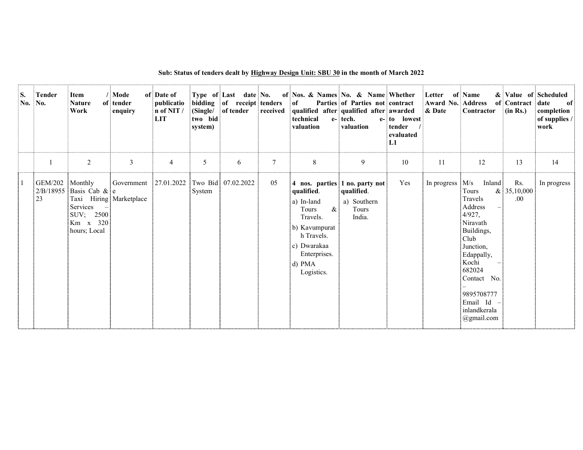| S.<br>No. | <b>Tender</b><br>No.      | Item<br><b>Nature</b><br>Work                                                                                                                             | / Mode<br>of tender<br>enquiry            | of Date of<br>publicatio<br>n of NIT /<br><b>LIT</b> | bidding<br>(Single/<br>two bid<br>system) | Type of Last date No.<br>of receipt tenders<br>of tender | received | of Nos. & Names No. & Name Whether<br>of<br>technical<br>valuation                                                                                                                         | Parties of Parties not contract<br>qualified after qualified after awarded<br>e- tech.<br>valuation | e- to lowest<br>tender<br>evaluated<br>L1 | Letter<br>Award No. Address<br>& Date | of Name<br>Contractor                                                                                                                                                                                      | of Contract<br>(in Rs.)   | & Value of Scheduled<br>date<br>of<br>completion<br>of supplies /<br>work |
|-----------|---------------------------|-----------------------------------------------------------------------------------------------------------------------------------------------------------|-------------------------------------------|------------------------------------------------------|-------------------------------------------|----------------------------------------------------------|----------|--------------------------------------------------------------------------------------------------------------------------------------------------------------------------------------------|-----------------------------------------------------------------------------------------------------|-------------------------------------------|---------------------------------------|------------------------------------------------------------------------------------------------------------------------------------------------------------------------------------------------------------|---------------------------|---------------------------------------------------------------------------|
|           |                           | $\overline{2}$                                                                                                                                            | $\mathfrak{Z}$                            | $\overline{4}$                                       | 5                                         | 6                                                        | $\tau$   | 8                                                                                                                                                                                          | 9                                                                                                   | $10\,$                                    | 11                                    | 12                                                                                                                                                                                                         | 13                        | 14                                                                        |
|           | GEM/202<br>$\frac{1}{23}$ | : Monthly<br>$2/B/18955$ Basis Cab & e<br>Taxi Hiring Marketplace<br>Services<br>$\overline{\phantom{0}}$<br>SUV; 2500<br>$Km \times 320$<br>hours; Local | Government 27.01.2022 Two Bid: 07.02.2022 |                                                      | : System                                  |                                                          | 05       | 4 nos. parties 1 no. party not<br>qualified.<br>a) In-land<br>$\alpha$ :<br><b>Tours</b><br>Travels.<br>b) Kavumpurat<br>h Travels.<br>c) Dwarakaa<br>Enterprises.<br>d) PMA<br>Logistics. | qualified.<br>a) Southern<br><b>Tours</b><br>India.                                                 | Yes                                       | In progress $M/s$                     | Inland:<br>: Tours<br>Travels<br>Address<br>4/927,<br>Niravath<br>Buildings,<br>Club!<br>Junction,<br>Edappally,<br>Kochi<br>682024<br>Contact No.<br>9895708777<br>Email Id<br>inlandkerala<br>@gmail.com | Rs.<br>& 35,10,000<br>.00 | In progress                                                               |

## Sub: Status of tenders dealt by Highway Design Unit: SBU 30 in the month of March 2022